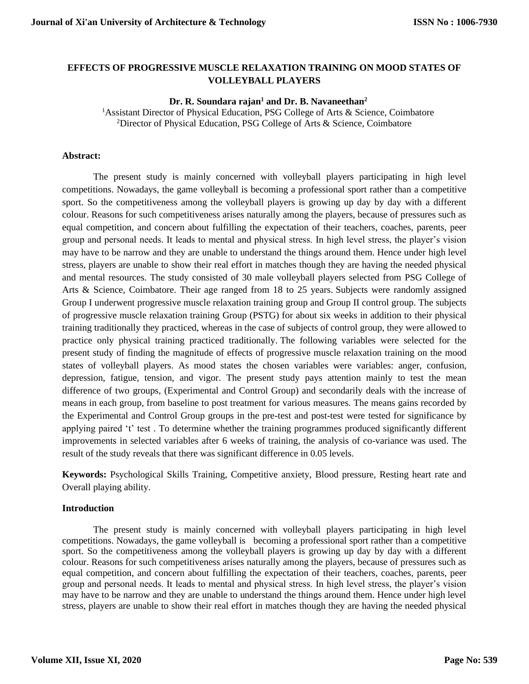# **EFFECTS OF PROGRESSIVE MUSCLE RELAXATION TRAINING ON MOOD STATES OF VOLLEYBALL PLAYERS**

#### **Dr. R. Soundara rajan<sup>1</sup> and Dr. B. Navaneethan<sup>2</sup>**

<sup>1</sup>Assistant Director of Physical Education, PSG College of Arts & Science, Coimbatore <sup>2</sup>Director of Physical Education, PSG College of Arts & Science, Coimbatore

#### **Abstract:**

The present study is mainly concerned with volleyball players participating in high level competitions. Nowadays, the game volleyball is becoming a professional sport rather than a competitive sport. So the competitiveness among the volleyball players is growing up day by day with a different colour. Reasons for such competitiveness arises naturally among the players, because of pressures such as equal competition, and concern about fulfilling the expectation of their teachers, coaches, parents, peer group and personal needs. It leads to mental and physical stress. In high level stress, the player's vision may have to be narrow and they are unable to understand the things around them. Hence under high level stress, players are unable to show their real effort in matches though they are having the needed physical and mental resources. The study consisted of 30 male volleyball players selected from PSG College of Arts & Science, Coimbatore. Their age ranged from 18 to 25 years. Subjects were randomly assigned Group I underwent progressive muscle relaxation training group and Group II control group. The subjects of progressive muscle relaxation training Group (PSTG) for about six weeks in addition to their physical training traditionally they practiced, whereas in the case of subjects of control group, they were allowed to practice only physical training practiced traditionally. The following variables were selected for the present study of finding the magnitude of effects of progressive muscle relaxation training on the mood states of volleyball players. As mood states the chosen variables were variables: anger, confusion, depression, fatigue, tension, and vigor. The present study pays attention mainly to test the mean difference of two groups, (Experimental and Control Group) and secondarily deals with the increase of means in each group, from baseline to post treatment for various measures. The means gains recorded by the Experimental and Control Group groups in the pre-test and post-test were tested for significance by applying paired 't' test . To determine whether the training programmes produced significantly different improvements in selected variables after 6 weeks of training, the analysis of co-variance was used. The result of the study reveals that there was significant difference in 0.05 levels.

**Keywords:** Psychological Skills Training, Competitive anxiety, Blood pressure, Resting heart rate and Overall playing ability.

#### **Introduction**

The present study is mainly concerned with volleyball players participating in high level competitions. Nowadays, the game volleyball is becoming a professional sport rather than a competitive sport. So the competitiveness among the volleyball players is growing up day by day with a different colour. Reasons for such competitiveness arises naturally among the players, because of pressures such as equal competition, and concern about fulfilling the expectation of their teachers, coaches, parents, peer group and personal needs. It leads to mental and physical stress. In high level stress, the player's vision may have to be narrow and they are unable to understand the things around them. Hence under high level stress, players are unable to show their real effort in matches though they are having the needed physical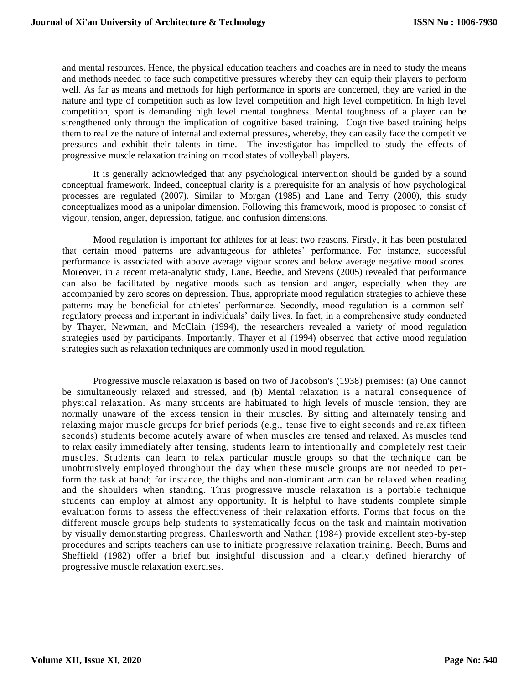and mental resources. Hence, the physical education teachers and coaches are in need to study the means and methods needed to face such competitive pressures whereby they can equip their players to perform well. As far as means and methods for high performance in sports are concerned, they are varied in the nature and type of competition such as low level competition and high level competition. In high level competition, sport is demanding high level mental toughness. Mental toughness of a player can be strengthened only through the implication of cognitive based training. Cognitive based training helps them to realize the nature of internal and external pressures, whereby, they can easily face the competitive pressures and exhibit their talents in time. The investigator has impelled to study the effects of progressive muscle relaxation training on mood states of volleyball players.

It is generally acknowledged that any psychological intervention should be guided by a sound conceptual framework. Indeed, conceptual clarity is a prerequisite for an analysis of how psychological processes are regulated (2007). Similar to Morgan (1985) and Lane and Terry (2000), this study conceptualizes mood as a unipolar dimension. Following this framework, mood is proposed to consist of vigour, tension, anger, depression, fatigue, and confusion dimensions.

Mood regulation is important for athletes for at least two reasons. Firstly, it has been postulated that certain mood patterns are advantageous for athletes' performance. For instance, successful performance is associated with above average vigour scores and below average negative mood scores. Moreover, in a recent meta-analytic study, Lane, Beedie, and Stevens (2005) revealed that performance can also be facilitated by negative moods such as tension and anger, especially when they are accompanied by zero scores on depression. Thus, appropriate mood regulation strategies to achieve these patterns may be beneficial for athletes' performance. Secondly, mood regulation is a common selfregulatory process and important in individuals' daily lives. In fact, in a comprehensive study conducted by Thayer, Newman, and McClain (1994), the researchers revealed a variety of mood regulation strategies used by participants. Importantly, Thayer et al (1994) observed that active mood regulation strategies such as relaxation techniques are commonly used in mood regulation.

Progressive muscle relaxation is based on two of Jacobson's (1938) premises: (a) One cannot be simultaneously relaxed and stressed, and (b) Mental relaxation is a natural consequence of physical relaxation. As many students are habituated to high levels of muscle tension, they are normally unaware of the excess tension in their muscles. By sitting and alternately tensing and relaxing major muscle groups for brief periods (e.g., tense five to eight seconds and relax fifteen seconds) students become acutely aware of when muscles are tensed and relaxed. As muscles tend to relax easily immediately after tensing, students learn to intentionally and completely rest their muscles. Students can learn to relax particular muscle groups so that the technique can be unobtrusively employed throughout the day when these muscle groups are not needed to perform the task at hand; for instance, the thighs and non-dominant arm can be relaxed when reading and the shoulders when standing. Thus progressive muscle relaxation is a portable technique students can employ at almost any opportunity. It is helpful to have students complete simple evaluation forms to assess the effectiveness of their relaxation efforts. Forms that focus on the different muscle groups help students to systematically focus on the task and maintain motivation by visually demonstarting progress. Charlesworth and Nathan (1984) provide excellent step-by-step procedures and scripts teachers can use to initiate progressive relaxation training. Beech, Burns and Sheffield (1982) offer a brief but insightful discussion and a clearly defined hierarchy of progressive muscle relaxation exercises.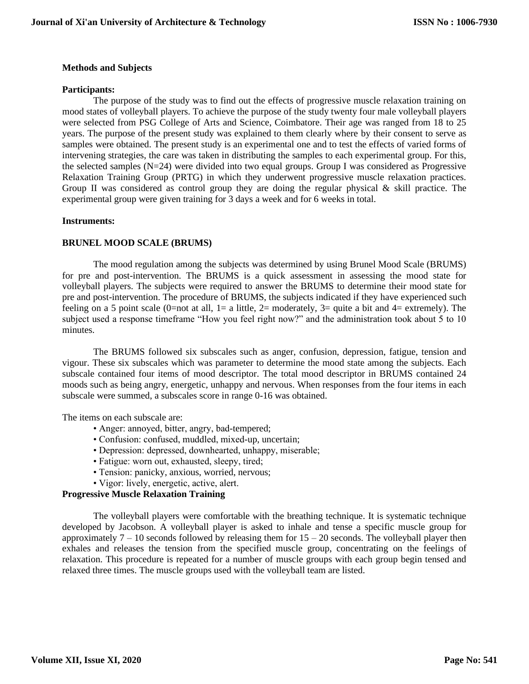### **Methods and Subjects**

#### **Participants:**

The purpose of the study was to find out the effects of progressive muscle relaxation training on mood states of volleyball players. To achieve the purpose of the study twenty four male volleyball players were selected from PSG College of Arts and Science, Coimbatore. Their age was ranged from 18 to 25 years. The purpose of the present study was explained to them clearly where by their consent to serve as samples were obtained. The present study is an experimental one and to test the effects of varied forms of intervening strategies, the care was taken in distributing the samples to each experimental group. For this, the selected samples (N=24) were divided into two equal groups. Group I was considered as Progressive Relaxation Training Group (PRTG) in which they underwent progressive muscle relaxation practices. Group II was considered as control group they are doing the regular physical  $\&$  skill practice. The experimental group were given training for 3 days a week and for 6 weeks in total.

### **Instruments:**

### **BRUNEL MOOD SCALE (BRUMS)**

The mood regulation among the subjects was determined by using Brunel Mood Scale (BRUMS) for pre and post-intervention. The BRUMS is a quick assessment in assessing the mood state for volleyball players. The subjects were required to answer the BRUMS to determine their mood state for pre and post-intervention. The procedure of BRUMS, the subjects indicated if they have experienced such feeling on a 5 point scale (0=not at all, 1= a little, 2= moderately, 3= quite a bit and 4= extremely). The subject used a response timeframe "How you feel right now?" and the administration took about 5 to 10 minutes.

The BRUMS followed six subscales such as anger, confusion, depression, fatigue, tension and vigour. These six subscales which was parameter to determine the mood state among the subjects. Each subscale contained four items of mood descriptor. The total mood descriptor in BRUMS contained 24 moods such as being angry, energetic, unhappy and nervous. When responses from the four items in each subscale were summed, a subscales score in range 0-16 was obtained.

The items on each subscale are:

- Anger: annoyed, bitter, angry, bad-tempered;
- Confusion: confused, muddled, mixed-up, uncertain;
- Depression: depressed, downhearted, unhappy, miserable;
- Fatigue: worn out, exhausted, sleepy, tired;
- Tension: panicky, anxious, worried, nervous;
- Vigor: lively, energetic, active, alert.

# **Progressive Muscle Relaxation Training**

The volleyball players were comfortable with the breathing technique. It is systematic technique developed by Jacobson. A volleyball player is asked to inhale and tense a specific muscle group for approximately  $7 - 10$  seconds followed by releasing them for  $15 - 20$  seconds. The volleyball player then exhales and releases the tension from the specified muscle group, concentrating on the feelings of relaxation. This procedure is repeated for a number of muscle groups with each group begin tensed and relaxed three times. The muscle groups used with the volleyball team are listed.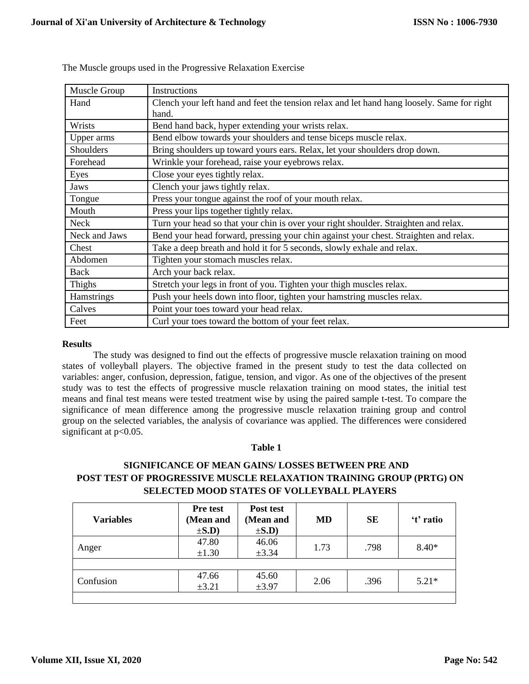| Muscle Group  | Instructions                                                                               |
|---------------|--------------------------------------------------------------------------------------------|
| Hand          | Clench your left hand and feet the tension relax and let hand hang loosely. Same for right |
|               | hand.                                                                                      |
| Wrists        | Bend hand back, hyper extending your wrists relax.                                         |
| Upper arms    | Bend elbow towards your shoulders and tense biceps muscle relax.                           |
| Shoulders     | Bring shoulders up toward yours ears. Relax, let your shoulders drop down.                 |
| Forehead      | Wrinkle your forehead, raise your eyebrows relax.                                          |
| Eyes          | Close your eyes tightly relax.                                                             |
| Jaws          | Clench your jaws tightly relax.                                                            |
| Tongue        | Press your tongue against the roof of your mouth relax.                                    |
| Mouth         | Press your lips together tightly relax.                                                    |
| <b>Neck</b>   | Turn your head so that your chin is over your right shoulder. Straighten and relax.        |
| Neck and Jaws | Bend your head forward, pressing your chin against your chest. Straighten and relax.       |
| Chest         | Take a deep breath and hold it for 5 seconds, slowly exhale and relax.                     |
| Abdomen       | Tighten your stomach muscles relax.                                                        |
| Back          | Arch your back relax.                                                                      |
| Thighs        | Stretch your legs in front of you. Tighten your thigh muscles relax.                       |
| Hamstrings    | Push your heels down into floor, tighten your hamstring muscles relax.                     |
| Calves        | Point your toes toward your head relax.                                                    |
| Feet          | Curl your toes toward the bottom of your feet relax.                                       |

The Muscle groups used in the Progressive Relaxation Exercise

# **Results**

The study was designed to find out the effects of progressive muscle relaxation training on mood states of volleyball players. The objective framed in the present study to test the data collected on variables: anger, confusion, depression, fatigue, tension, and vigor. As one of the objectives of the present study was to test the effects of progressive muscle relaxation training on mood states, the initial test means and final test means were tested treatment wise by using the paired sample t-test. To compare the significance of mean difference among the progressive muscle relaxation training group and control group on the selected variables, the analysis of covariance was applied. The differences were considered significant at p<0.05.

# **Table 1**

# **SIGNIFICANCE OF MEAN GAINS/ LOSSES BETWEEN PRE AND POST TEST OF PROGRESSIVE MUSCLE RELAXATION TRAINING GROUP (PRTG) ON SELECTED MOOD STATES OF VOLLEYBALL PLAYERS**

| <b>Variables</b> | <b>Pre test</b><br>(Mean and<br>$\pm$ S.D) | Post test<br>(Mean and<br>$\pm$ S.D) | <b>MD</b> | <b>SE</b> | 't' ratio |
|------------------|--------------------------------------------|--------------------------------------|-----------|-----------|-----------|
| Anger            | 47.80<br>$\pm 1.30$                        | 46.06<br>±3.34                       | 1.73      | .798      | $8.40*$   |
|                  |                                            |                                      |           |           |           |
| Confusion        | 47.66<br>±3.21                             | 45.60<br>$\pm 3.97$                  | 2.06      | .396      | $5.21*$   |
|                  |                                            |                                      |           |           |           |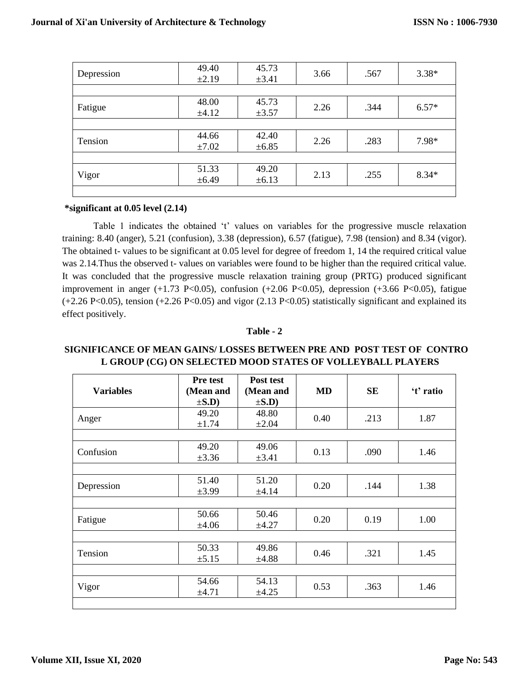| Depression | 49.40<br>±2.19 | 45.73<br>$\pm 3.41$ | 3.66 | .567 | $3.38*$ |
|------------|----------------|---------------------|------|------|---------|
|            |                |                     |      |      |         |
| Fatigue    | 48.00          | 45.73               | 2.26 | .344 | $6.57*$ |
|            | ±4.12          | $\pm 3.57$          |      |      |         |
|            | 44.66          | 42.40               | 2.26 | .283 | 7.98*   |
| Tension    | $\pm 7.02$     | $\pm 6.85$          |      |      |         |
|            |                |                     |      |      |         |
| Vigor      | 51.33          | 49.20               | 2.13 | .255 | $8.34*$ |
|            | $\pm 6.49$     | $\pm 6.13$          |      |      |         |
|            |                |                     |      |      |         |

#### **\*significant at 0.05 level (2.14)**

Table 1 indicates the obtained 't' values on variables for the progressive muscle relaxation training: 8.40 (anger), 5.21 (confusion), 3.38 (depression), 6.57 (fatigue), 7.98 (tension) and 8.34 (vigor). The obtained t- values to be significant at 0.05 level for degree of freedom 1, 14 the required critical value was 2.14.Thus the observed t- values on variables were found to be higher than the required critical value. It was concluded that the progressive muscle relaxation training group (PRTG) produced significant improvement in anger (+1.73 P<0.05), confusion (+2.06 P<0.05), depression (+3.66 P<0.05), fatigue  $(+2.26 \text{ P}<0.05)$ , tension  $(+2.26 \text{ P}<0.05)$  and vigor  $(2.13 \text{ P}<0.05)$  statistically significant and explained its effect positively.

### **Table - 2**

# **SIGNIFICANCE OF MEAN GAINS/ LOSSES BETWEEN PRE AND POST TEST OF CONTRO L GROUP (CG) ON SELECTED MOOD STATES OF VOLLEYBALL PLAYERS**

|                  | <b>Pre test</b> | Post test  |           |           |           |
|------------------|-----------------|------------|-----------|-----------|-----------|
| <b>Variables</b> | (Mean and       | (Mean and  | <b>MD</b> | <b>SE</b> | 't' ratio |
|                  | $\pm$ S.D)      | $\pm$ S.D) |           |           |           |
|                  | 49.20           | 48.80      | 0.40      | .213      | 1.87      |
| Anger            | ±1.74           | $\pm 2.04$ |           |           |           |
|                  |                 |            |           |           |           |
| Confusion        | 49.20           | 49.06      |           | .090      | 1.46      |
|                  | $\pm 3.36$      | $\pm 3.41$ | 0.13      |           |           |
|                  |                 |            |           |           |           |
|                  | 51.40           | 51.20      | 0.20      | .144      | 1.38      |
| Depression       | $\pm 3.99$      | ±4.14      |           |           |           |
|                  |                 |            |           |           |           |
|                  | 50.66           | 50.46      | 0.20      | 0.19      | 1.00      |
| Fatigue          | $\pm 4.06$      | $\pm 4.27$ |           |           |           |
|                  |                 |            |           |           |           |
| Tension          | 50.33           | 49.86      | 0.46      | .321      | 1.45      |
|                  | $\pm 5.15$      | ±4.88      |           |           |           |
|                  |                 |            |           |           |           |
|                  | 54.66           | 54.13      |           |           | 1.46      |
| Vigor            | ±4.71           | $\pm 4.25$ | 0.53      | .363      |           |
|                  |                 |            |           |           |           |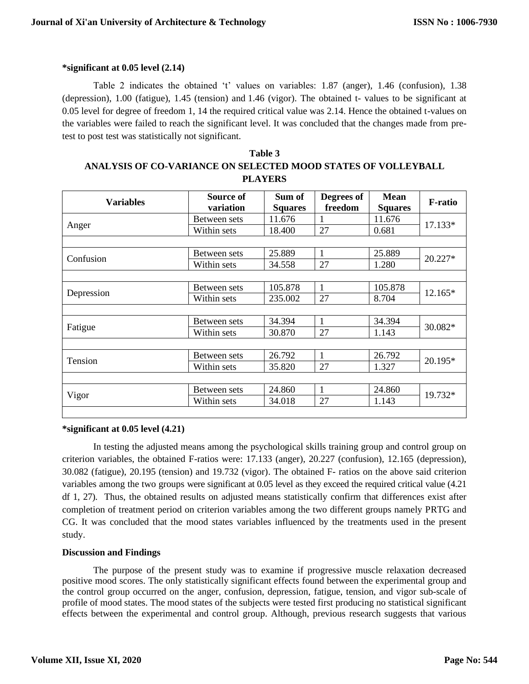## **\*significant at 0.05 level (2.14)**

Table 2 indicates the obtained 't' values on variables: 1.87 (anger), 1.46 (confusion), 1.38 (depression), 1.00 (fatigue), 1.45 (tension) and 1.46 (vigor). The obtained t- values to be significant at 0.05 level for degree of freedom 1, 14 the required critical value was 2.14. Hence the obtained t-values on the variables were failed to reach the significant level. It was concluded that the changes made from pretest to post test was statistically not significant.

| Table 3                                                       |
|---------------------------------------------------------------|
| ANALYSIS OF CO-VARIANCE ON SELECTED MOOD STATES OF VOLLEYBALL |
| <b>PLAYERS</b>                                                |

| <b>Variables</b> | Source of<br>variation | Sum of<br><b>Squares</b> | Degrees of<br>freedom | <b>Mean</b><br><b>Squares</b> | <b>F-ratio</b> |  |
|------------------|------------------------|--------------------------|-----------------------|-------------------------------|----------------|--|
|                  | Between sets           | 11.676                   |                       | 11.676                        | 17.133*        |  |
| Anger            | Within sets            | 18.400                   | 27                    | 0.681                         |                |  |
|                  |                        |                          |                       |                               |                |  |
| Confusion        | Between sets           | 25.889                   | 1                     | 25.889                        |                |  |
|                  | Within sets            | 34.558                   | 27                    | 1.280                         | 20.227*        |  |
|                  |                        |                          |                       |                               |                |  |
|                  | Between sets           | 105.878                  | 1                     | 105.878                       | 12.165*        |  |
| Depression       | Within sets            | 235.002                  | 27                    | 8.704                         |                |  |
|                  |                        |                          |                       |                               |                |  |
|                  | Between sets           | 34.394                   | 1                     | 34.394                        |                |  |
| Fatigue          | Within sets            | 30.870                   | 27                    | 1.143                         | 30.082*        |  |
|                  |                        |                          |                       |                               |                |  |
| Tension          | Between sets           | 26.792                   | 1                     | 26.792                        | 20.195*        |  |
|                  | Within sets            | 35.820                   | 27                    | 1.327                         |                |  |
|                  |                        |                          |                       |                               |                |  |
|                  | Between sets           | 24.860                   | 1                     | 24.860                        |                |  |
| Vigor            | Within sets            | 34.018                   | 27                    | 1.143                         | 19.732*        |  |

#### **\*significant at 0.05 level (4.21)**

In testing the adjusted means among the psychological skills training group and control group on criterion variables, the obtained F-ratios were: 17.133 (anger), 20.227 (confusion), 12.165 (depression), 30.082 (fatigue), 20.195 (tension) and 19.732 (vigor). The obtained F- ratios on the above said criterion variables among the two groups were significant at 0.05 level as they exceed the required critical value (4.21 df 1, 27). Thus, the obtained results on adjusted means statistically confirm that differences exist after completion of treatment period on criterion variables among the two different groups namely PRTG and CG. It was concluded that the mood states variables influenced by the treatments used in the present study.

# **Discussion and Findings**

The purpose of the present study was to examine if progressive muscle relaxation decreased positive mood scores. The only statistically significant effects found between the experimental group and the control group occurred on the anger, confusion, depression, fatigue, tension, and vigor sub-scale of profile of mood states. The mood states of the subjects were tested first producing no statistical significant effects between the experimental and control group. Although, previous research suggests that various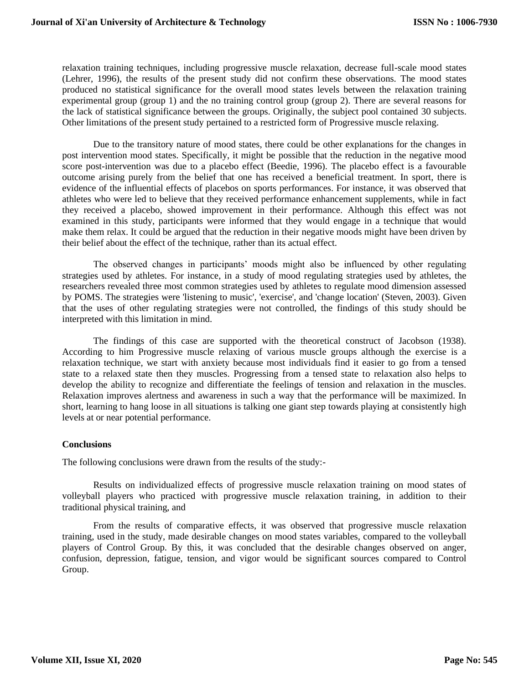relaxation training techniques, including progressive muscle relaxation, decrease full-scale mood states (Lehrer, 1996), the results of the present study did not confirm these observations. The mood states produced no statistical significance for the overall mood states levels between the relaxation training experimental group (group 1) and the no training control group (group 2). There are several reasons for the lack of statistical significance between the groups. Originally, the subject pool contained 30 subjects. Other limitations of the present study pertained to a restricted form of Progressive muscle relaxing.

Due to the transitory nature of mood states, there could be other explanations for the changes in post intervention mood states. Specifically, it might be possible that the reduction in the negative mood score post-intervention was due to a placebo effect (Beedie, 1996). The placebo effect is a favourable outcome arising purely from the belief that one has received a beneficial treatment. In sport, there is evidence of the influential effects of placebos on sports performances. For instance, it was observed that athletes who were led to believe that they received performance enhancement supplements, while in fact they received a placebo, showed improvement in their performance. Although this effect was not examined in this study, participants were informed that they would engage in a technique that would make them relax. It could be argued that the reduction in their negative moods might have been driven by their belief about the effect of the technique, rather than its actual effect.

The observed changes in participants' moods might also be influenced by other regulating strategies used by athletes. For instance, in a study of mood regulating strategies used by athletes, the researchers revealed three most common strategies used by athletes to regulate mood dimension assessed by POMS. The strategies were 'listening to music', 'exercise', and 'change location' (Steven, 2003). Given that the uses of other regulating strategies were not controlled, the findings of this study should be interpreted with this limitation in mind.

The findings of this case are supported with the theoretical construct of Jacobson (1938). According to him Progressive muscle relaxing of various muscle groups although the exercise is a relaxation technique, we start with anxiety because most individuals find it easier to go from a tensed state to a relaxed state then they muscles. Progressing from a tensed state to relaxation also helps to develop the ability to recognize and differentiate the feelings of tension and relaxation in the muscles. Relaxation improves alertness and awareness in such a way that the performance will be maximized. In short, learning to hang loose in all situations is talking one giant step towards playing at consistently high levels at or near potential performance.

# **Conclusions**

The following conclusions were drawn from the results of the study:-

Results on individualized effects of progressive muscle relaxation training on mood states of volleyball players who practiced with progressive muscle relaxation training, in addition to their traditional physical training, and

From the results of comparative effects, it was observed that progressive muscle relaxation training, used in the study, made desirable changes on mood states variables, compared to the volleyball players of Control Group. By this, it was concluded that the desirable changes observed on anger, confusion, depression, fatigue, tension, and vigor would be significant sources compared to Control Group.